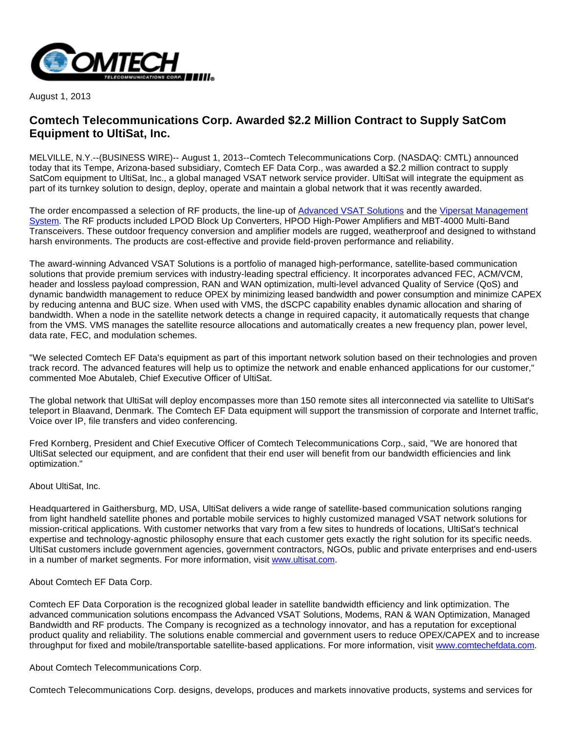

August 1, 2013

## **Comtech Telecommunications Corp. Awarded \$2.2 Million Contract to Supply SatCom Equipment to UltiSat, Inc.**

MELVILLE, N.Y.--(BUSINESS WIRE)-- August 1, 2013--Comtech Telecommunications Corp. (NASDAQ: CMTL) announced today that its Tempe, Arizona-based subsidiary, Comtech EF Data Corp., was awarded a \$2.2 million contract to supply SatCom equipment to UltiSat, Inc., a global managed VSAT network service provider. UltiSat will integrate the equipment as part of its turnkey solution to design, deploy, operate and maintain a global network that it was recently awarded.

The order encompassed a selection of RF products, the line-up of [Advanced VSAT Solutions](http://cts.businesswire.com/ct/CT?id=smartlink&url=http%3A%2F%2Fwww.comtechefdata.com%2Fproducts%2Fadvanced-vsat-solutions&esheet=50680314&newsitemid=20130801005044&lan=en-US&anchor=Advanced+VSAT+Solutions&index=1&md5=07e7de38ef17c1e0a5a6a1de5f59d9f4) and the [Vipersat Management](http://cts.businesswire.com/ct/CT?id=smartlink&url=http%3A%2F%2Fwww.comtechefdata.com%2Fproducts%2Fmanaged-bandwidth%2Fvipersat%2Fvipersatvms&esheet=50680314&newsitemid=20130801005044&lan=en-US&anchor=Vipersat+Management+System&index=2&md5=7ed64edb7ad7c554d904f4b3517e4877)  [System.](http://cts.businesswire.com/ct/CT?id=smartlink&url=http%3A%2F%2Fwww.comtechefdata.com%2Fproducts%2Fmanaged-bandwidth%2Fvipersat%2Fvipersatvms&esheet=50680314&newsitemid=20130801005044&lan=en-US&anchor=Vipersat+Management+System&index=2&md5=7ed64edb7ad7c554d904f4b3517e4877) The RF products included LPOD Block Up Converters, HPOD High-Power Amplifiers and MBT-4000 Multi-Band Transceivers. These outdoor frequency conversion and amplifier models are rugged, weatherproof and designed to withstand harsh environments. The products are cost-effective and provide field-proven performance and reliability.

The award-winning Advanced VSAT Solutions is a portfolio of managed high-performance, satellite-based communication solutions that provide premium services with industry-leading spectral efficiency. It incorporates advanced FEC, ACM/VCM, header and lossless payload compression, RAN and WAN optimization, multi-level advanced Quality of Service (QoS) and dynamic bandwidth management to reduce OPEX by minimizing leased bandwidth and power consumption and minimize CAPEX by reducing antenna and BUC size. When used with VMS, the dSCPC capability enables dynamic allocation and sharing of bandwidth. When a node in the satellite network detects a change in required capacity, it automatically requests that change from the VMS. VMS manages the satellite resource allocations and automatically creates a new frequency plan, power level, data rate, FEC, and modulation schemes.

"We selected Comtech EF Data's equipment as part of this important network solution based on their technologies and proven track record. The advanced features will help us to optimize the network and enable enhanced applications for our customer," commented Moe Abutaleb, Chief Executive Officer of UltiSat.

The global network that UltiSat will deploy encompasses more than 150 remote sites all interconnected via satellite to UltiSat's teleport in Blaavand, Denmark. The Comtech EF Data equipment will support the transmission of corporate and Internet traffic, Voice over IP, file transfers and video conferencing.

Fred Kornberg, President and Chief Executive Officer of Comtech Telecommunications Corp., said, "We are honored that UltiSat selected our equipment, and are confident that their end user will benefit from our bandwidth efficiencies and link optimization."

## About UltiSat, Inc.

Headquartered in Gaithersburg, MD, USA, UltiSat delivers a wide range of satellite-based communication solutions ranging from light handheld satellite phones and portable mobile services to highly customized managed VSAT network solutions for mission-critical applications. With customer networks that vary from a few sites to hundreds of locations, UltiSat's technical expertise and technology-agnostic philosophy ensure that each customer gets exactly the right solution for its specific needs. UltiSat customers include government agencies, government contractors, NGOs, public and private enterprises and end-users in a number of market segments. For more information, visit [www.ultisat.com.](http://cts.businesswire.com/ct/CT?id=smartlink&url=http%3A%2F%2Fwww.ultisat.com&esheet=50680314&newsitemid=20130801005044&lan=en-US&anchor=www.ultisat.com&index=3&md5=0a0266fd961dac6bb5a790e7c2918a37)

## About Comtech EF Data Corp.

Comtech EF Data Corporation is the recognized global leader in satellite bandwidth efficiency and link optimization. The advanced communication solutions encompass the Advanced VSAT Solutions, Modems, RAN & WAN Optimization, Managed Bandwidth and RF products. The Company is recognized as a technology innovator, and has a reputation for exceptional product quality and reliability. The solutions enable commercial and government users to reduce OPEX/CAPEX and to increase throughput for fixed and mobile/transportable satellite-based applications. For more information, visit [www.comtechefdata.com](http://cts.businesswire.com/ct/CT?id=smartlink&url=http%3A%2F%2Fwww.comtechefdata.com&esheet=50680314&newsitemid=20130801005044&lan=en-US&anchor=www.comtechefdata.com&index=4&md5=a40636d26633eb529925fb1835e5718c).

About Comtech Telecommunications Corp.

Comtech Telecommunications Corp. designs, develops, produces and markets innovative products, systems and services for